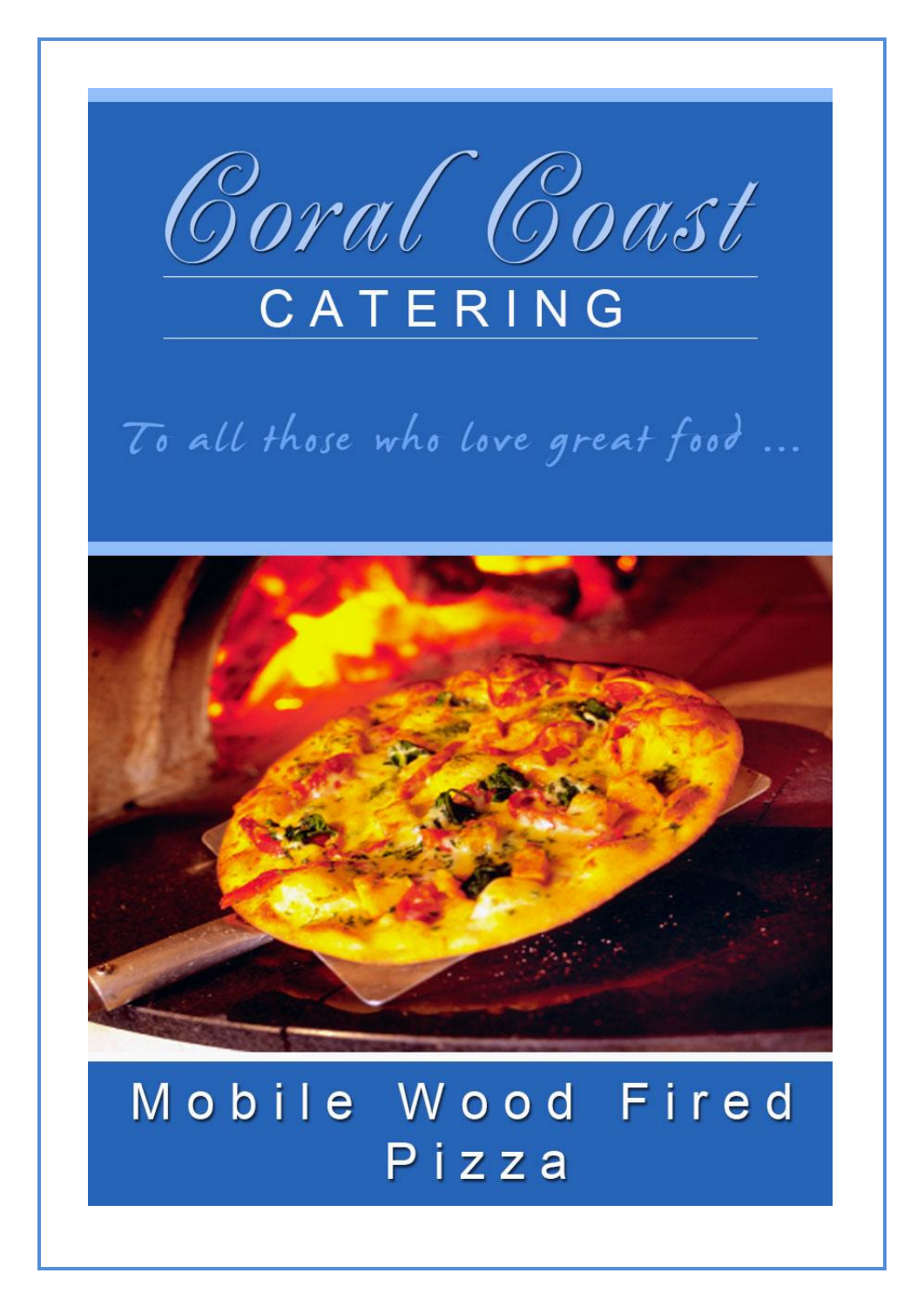

# To all those who love great food ...



## Mobile Wood Fired Pizza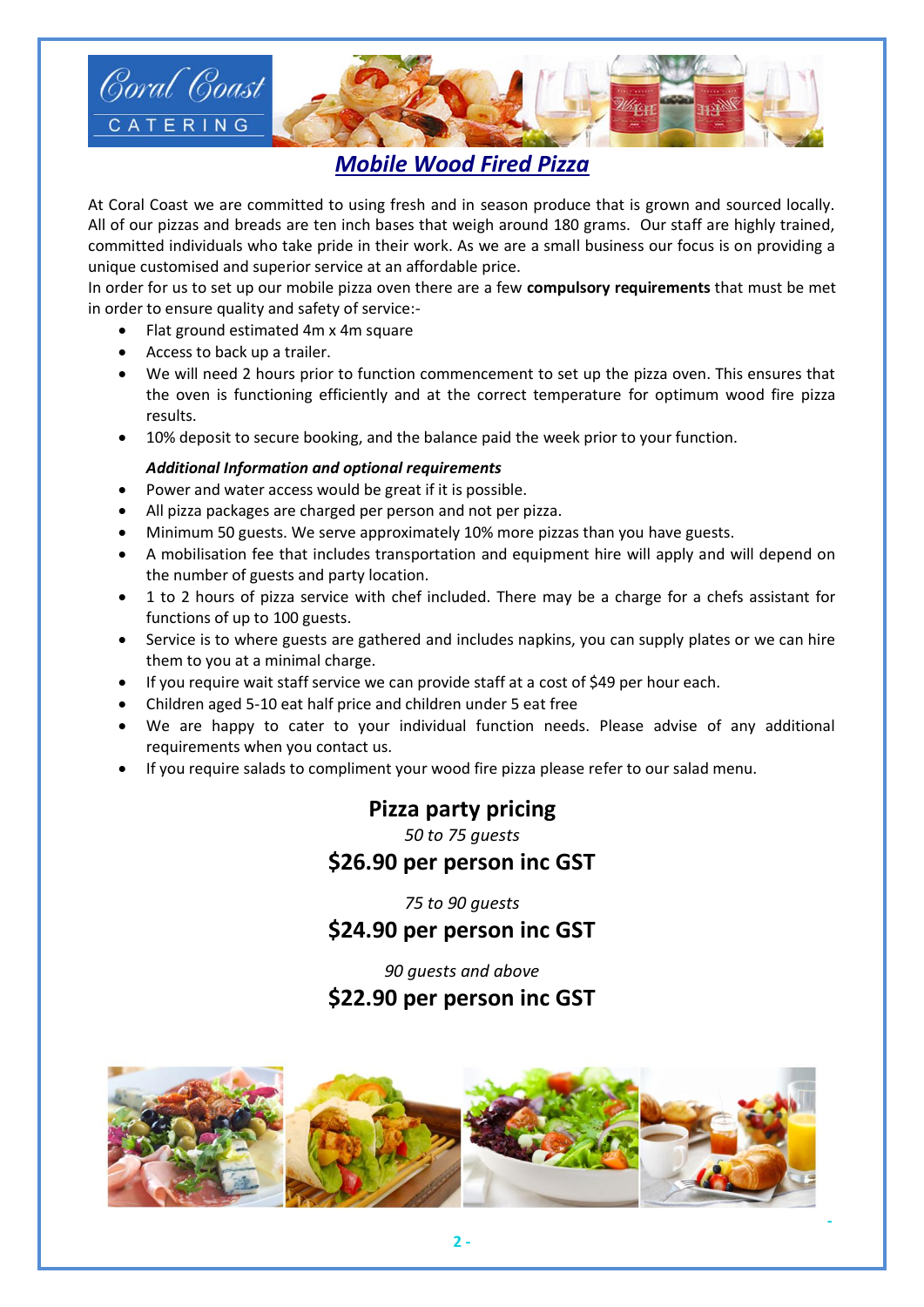

## *Mobile Wood Fired Pizza*

At Coral Coast we are committed to using fresh and in season produce that is grown and sourced locally. All of our pizzas and breads are ten inch bases that weigh around 180 grams. Our staff are highly trained, committed individuals who take pride in their work. As we are a small business our focus is on providing a unique customised and superior service at an affordable price.

In order for us to set up our mobile pizza oven there are a few **compulsory requirements** that must be met in order to ensure quality and safety of service:-

- Flat ground estimated 4m x 4m square
- Access to back up a trailer.
- We will need 2 hours prior to function commencement to set up the pizza oven. This ensures that the oven is functioning efficiently and at the correct temperature for optimum wood fire pizza results.
- 10% deposit to secure booking, and the balance paid the week prior to your function.

#### *Additional Information and optional requirements*

- Power and water access would be great if it is possible.
- All pizza packages are charged per person and not per pizza.
- Minimum 50 guests. We serve approximately 10% more pizzas than you have guests.
- A mobilisation fee that includes transportation and equipment hire will apply and will depend on the number of guests and party location.
- 1 to 2 hours of pizza service with chef included. There may be a charge for a chefs assistant for functions of up to 100 guests.
- Service is to where guests are gathered and includes napkins, you can supply plates or we can hire them to you at a minimal charge.
- If you require wait staff service we can provide staff at a cost of \$49 per hour each.
- Children aged 5-10 eat half price and children under 5 eat free
- We are happy to cater to your individual function needs. Please advise of any additional requirements when you contact us.
- If you require salads to compliment your wood fire pizza please refer to our salad menu.

## **Pizza party pricing**

*50 to 75 guests*

## **\$26.90 per person inc GST**

*75 to 90 guests*

## **\$24.90 per person inc GST**

*90 guests and above* **\$22.90 per person inc GST**



**-**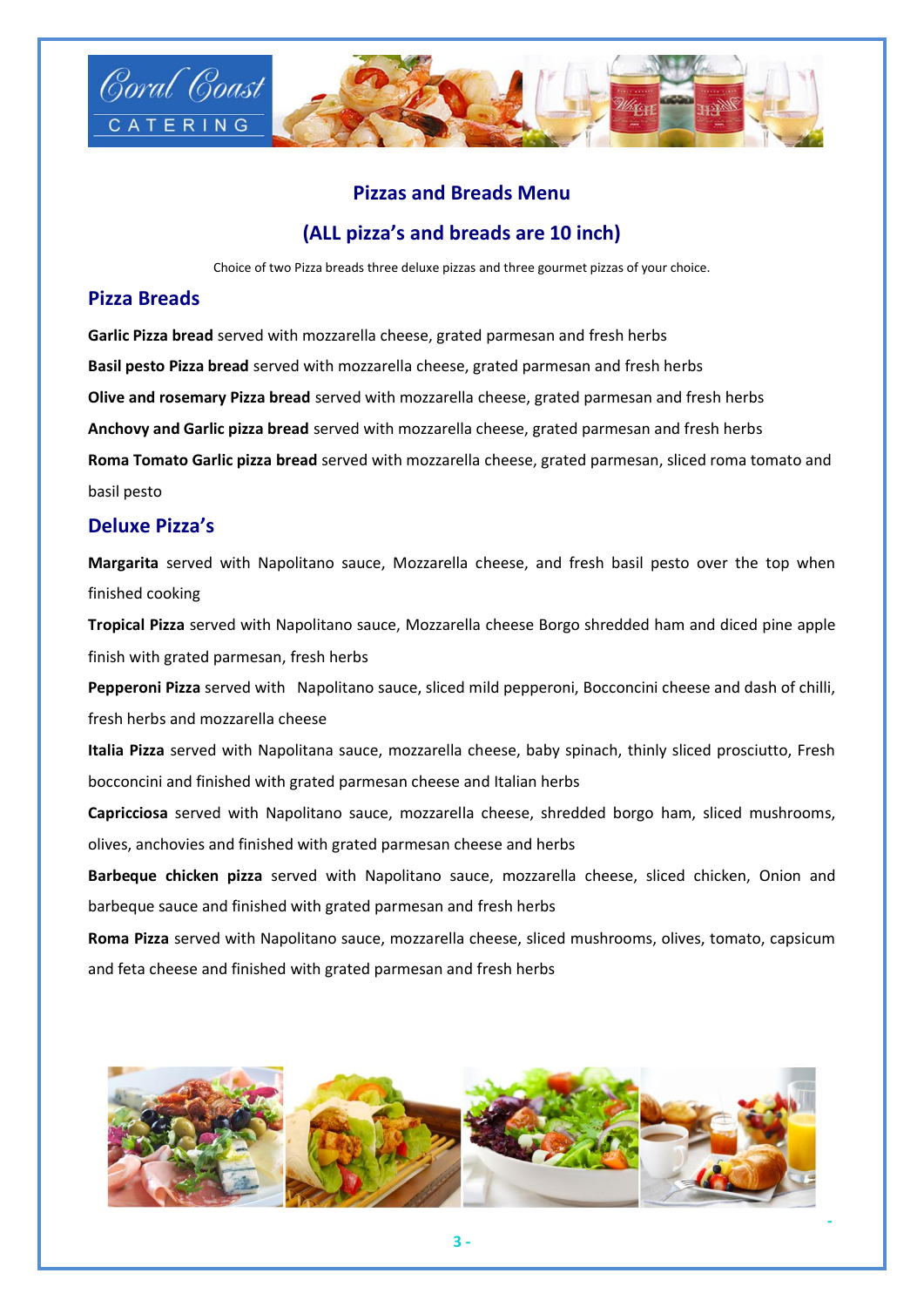

### **Pizzas and Breads Menu**

### **(ALL pizza's and breads are 10 inch)**

Choice of two Pizza breads three deluxe pizzas and three gourmet pizzas of your choice.

#### **Pizza Breads**

**Garlic Pizza bread** served with mozzarella cheese, grated parmesan and fresh herbs **Basil pesto Pizza bread** served with mozzarella cheese, grated parmesan and fresh herbs **Olive and rosemary Pizza bread** served with mozzarella cheese, grated parmesan and fresh herbs **Anchovy and Garlic pizza bread** served with mozzarella cheese, grated parmesan and fresh herbs **Roma Tomato Garlic pizza bread** served with mozzarella cheese, grated parmesan, sliced roma tomato and basil pesto

#### **Deluxe Pizza's**

**Margarita** served with Napolitano sauce, Mozzarella cheese, and fresh basil pesto over the top when finished cooking

**Tropical Pizza** served with Napolitano sauce, Mozzarella cheese Borgo shredded ham and diced pine apple finish with grated parmesan, fresh herbs

**Pepperoni Pizza** served with Napolitano sauce, sliced mild pepperoni, Bocconcini cheese and dash of chilli, fresh herbs and mozzarella cheese

**Italia Pizza** served with Napolitana sauce, mozzarella cheese, baby spinach, thinly sliced prosciutto, Fresh bocconcini and finished with grated parmesan cheese and Italian herbs

**Capricciosa** served with Napolitano sauce, mozzarella cheese, shredded borgo ham, sliced mushrooms, olives, anchovies and finished with grated parmesan cheese and herbs

**Barbeque chicken pizza** served with Napolitano sauce, mozzarella cheese, sliced chicken, Onion and barbeque sauce and finished with grated parmesan and fresh herbs

**Roma Pizza** served with Napolitano sauce, mozzarella cheese, sliced mushrooms, olives, tomato, capsicum and feta cheese and finished with grated parmesan and fresh herbs



**-**